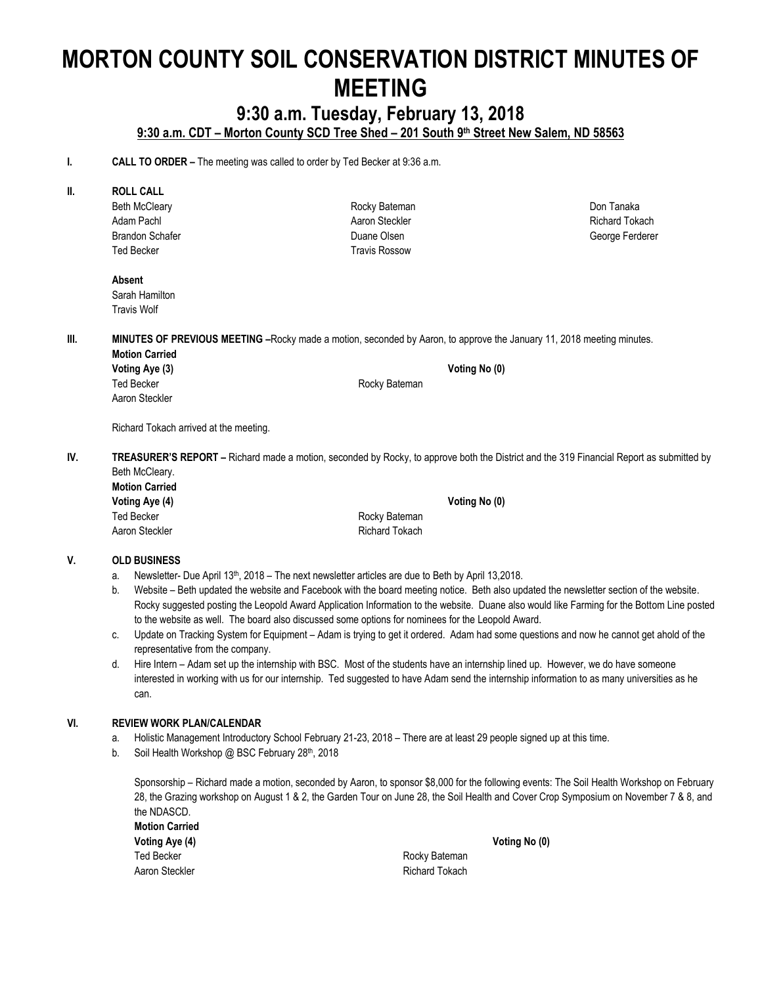# **MORTON COUNTY SOIL CONSERVATION DISTRICT MINUTES OF MEETING**

# **9:30 a.m. Tuesday, February 13, 2018**

**9:30 a.m. CDT – Morton County SCD Tree Shed – 201 South 9th Street New Salem, ND 58563**

Rocky Bateman Aaron Steckler Duane Olsen Travis Rossow

**I. CALL TO ORDER** – The meeting was called to order by Ted Becker at 9:36 a.m.

#### **II. ROLL CALL**

Beth McCleary Adam Pachl Brandon Schafer Ted Becker

**Absent** Sarah Hamilton Travis Wolf

**III. MINUTES OF PREVIOUS MEETING** -Rocky made a motion, seconded by Aaron, to approve the January 11, 2018 meeting minutes.

**Motion Carried Voting Aye (3) Voting No (0)** Ted Becker **Rocky** Bateman Aaron Steckler

Richard Tokach arrived at the meeting.

**IV. TREASURER'S REPORT –** Richard made a motion, seconded by Rocky, to approve both the District and the 319 Financial Report as submitted by Beth McCleary.

**Motion Carried Voting Aye (4) Voting No (0)** Ted Becker **Rocky** Bateman Aaron Steckler **Richard Tokach** Richard Tokach

#### **V. OLD BUSINESS**

- a. Newsletter- Due April 13<sup>th</sup>, 2018 The next newsletter articles are due to Beth by April 13,2018.
- b. Website Beth updated the website and Facebook with the board meeting notice. Beth also updated the newsletter section of the website. Rocky suggested posting the Leopold Award Application Information to the website. Duane also would like Farming for the Bottom Line posted to the website as well. The board also discussed some options for nominees for the Leopold Award.
- c. Update on Tracking System for Equipment Adam is trying to get it ordered. Adam had some questions and now he cannot get ahold of the representative from the company.
- d. Hire Intern Adam set up the internship with BSC. Most of the students have an internship lined up. However, we do have someone interested in working with us for our internship. Ted suggested to have Adam send the internship information to as many universities as he can.

#### **VI. REVIEW WORK PLAN/CALENDAR**

- a. Holistic Management Introductory School February 21-23, 2018 There are at least 29 people signed up at this time.
- b. Soil Health Workshop @ BSC February 28th, 2018

Sponsorship – Richard made a motion, seconded by Aaron, to sponsor \$8,000 for the following events: The Soil Health Workshop on February 28, the Grazing workshop on August 1 & 2, the Garden Tour on June 28, the Soil Health and Cover Crop Symposium on November 7 & 8, and the NDASCD.

| <b>Motion Carried</b> |
|-----------------------|
| Voting Aye (4)        |
| Ted Becker            |
| Aaron Steckler        |

Rocky Bateman **Richard Tokach**  **Voting Aye (4) Voting No (0)**

Don Tanaka Richard Tokach George Ferderer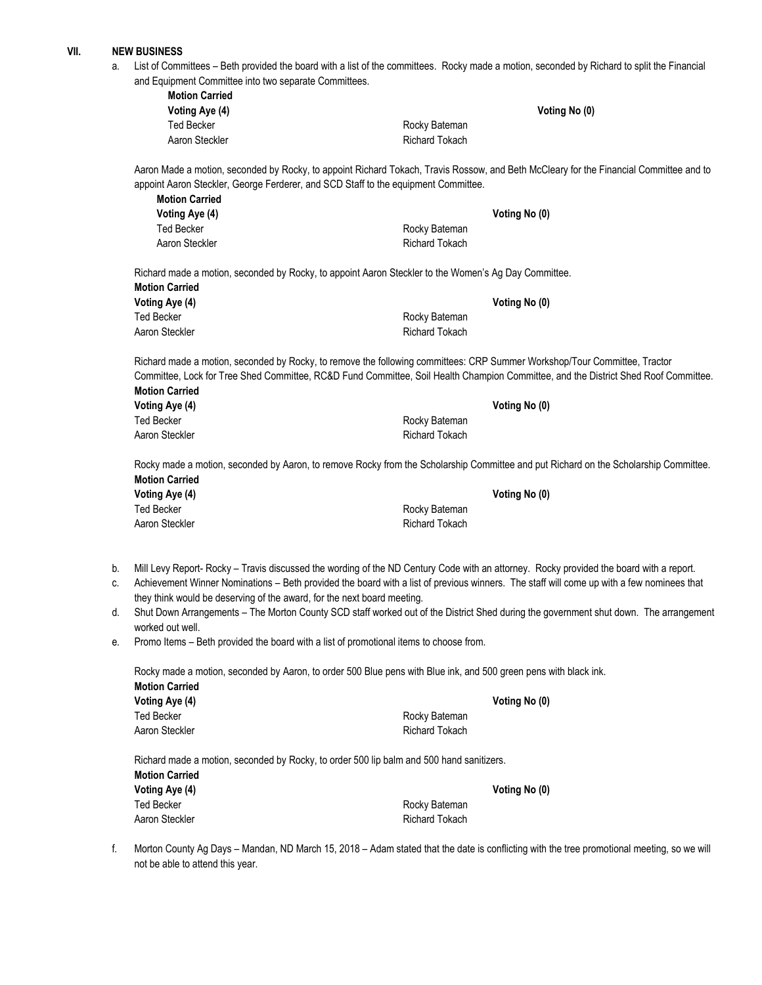#### **VII. NEW BUSINESS**

a. List of Committees – Beth provided the board with a list of the committees. Rocky made a motion, seconded by Richard to split the Financial and Equipment Committee into two separate Committees. **Motion Carried**

| ויוטעוטוו טפוווכט |                       |
|-------------------|-----------------------|
| Voting Aye (4)    |                       |
| Ted Becker        | Rocky Bateman         |
| Aaron Steckler    | <b>Richard Tokach</b> |

Aaron Made a motion, seconded by Rocky, to appoint Richard Tokach, Travis Rossow, and Beth McCleary for the Financial Committee and to appoint Aaron Steckler, George Ferderer, and SCD Staff to the equipment Committee. **Motion Carried**

**Voting Aye (4) Voting No (0)**

|                | Voting No (0) |
|----------------|---------------|
| Rocky Bateman  |               |
| Richard Tokach |               |
|                |               |

Richard made a motion, seconded by Rocky, to appoint Aaron Steckler to the Women's Ag Day Committee. **Motion Carried**

| Voting Aye (4) | Voting No (0)         |
|----------------|-----------------------|
| Ted Becker     | Rocky Bateman         |
| Aaron Steckler | <b>Richard Tokach</b> |

Richard made a motion, seconded by Rocky, to remove the following committees: CRP Summer Workshop/Tour Committee, Tractor Committee, Lock for Tree Shed Committee, RC&D Fund Committee, Soil Health Champion Committee, and the District Shed Roof Committee. **Motion Carried**

| Voting Aye (4) |                | Voting No (0) |
|----------------|----------------|---------------|
| Ted Becker     | Rocky Bateman  |               |
| Aaron Steckler | Richard Tokach |               |

Rocky made a motion, seconded by Aaron, to remove Rocky from the Scholarship Committee and put Richard on the Scholarship Committee. **Motion Carried Voting Aye (4) Voting No (0)**

| Rocky Bateman  |
|----------------|
| Richard Tokach |
|                |

- b. Mill Levy Report- Rocky Travis discussed the wording of the ND Century Code with an attorney. Rocky provided the board with a report.
- c. Achievement Winner Nominations Beth provided the board with a list of previous winners. The staff will come up with a few nominees that they think would be deserving of the award, for the next board meeting.
- d. Shut Down Arrangements The Morton County SCD staff worked out of the District Shed during the government shut down. The arrangement worked out well.
- e. Promo Items Beth provided the board with a list of promotional items to choose from.

Rocky made a motion, seconded by Aaron, to order 500 Blue pens with Blue ink, and 500 green pens with black ink.

| <b>Motion Carried</b> |                       |
|-----------------------|-----------------------|
| Voting Aye (4)        | Voting No (0)         |
| Ted Becker            | Rocky Bateman         |
| Aaron Steckler        | <b>Richard Tokach</b> |
|                       |                       |

Richard made a motion, seconded by Rocky, to order 500 lip balm and 500 hand sanitizers.

| <b>Motion Carried</b> |  |
|-----------------------|--|
| Voting Aye (4)        |  |
| <b>Ted Becker</b>     |  |

**Voting Aye (4) Voting No (0)** Rocky Bateman Aaron Steckler **Richard Tokach** Richard Tokach

f. Morton County Ag Days – Mandan, ND March 15, 2018 – Adam stated that the date is conflicting with the tree promotional meeting, so we will not be able to attend this year.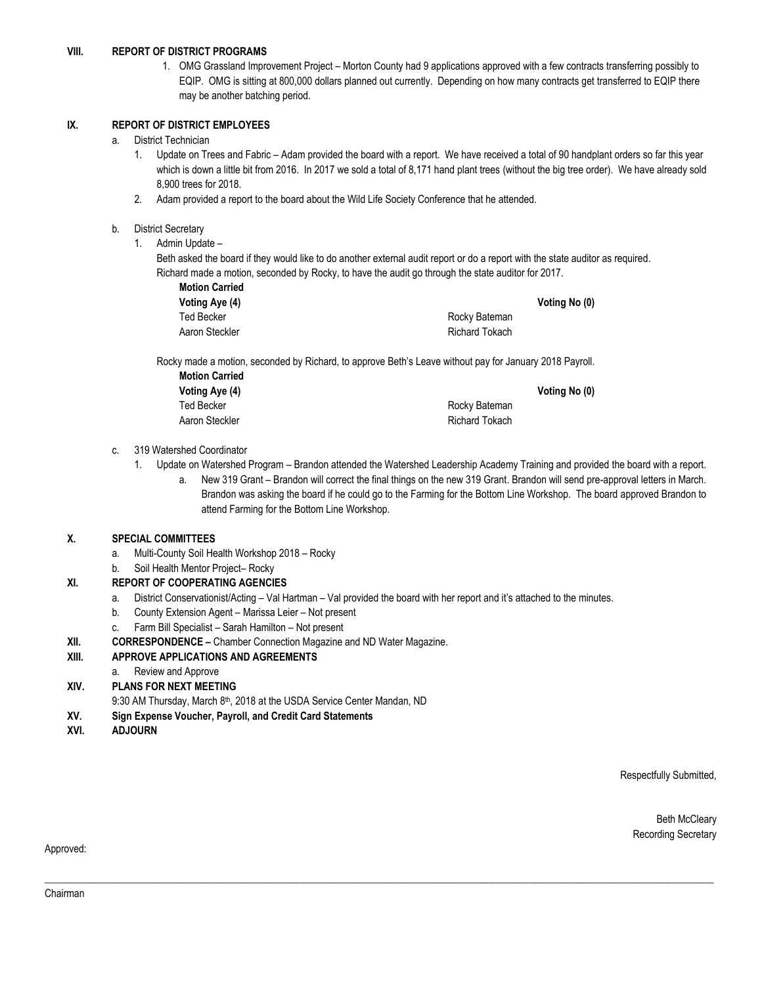#### **VIII. REPORT OF DISTRICT PROGRAMS**

1. OMG Grassland Improvement Project – Morton County had 9 applications approved with a few contracts transferring possibly to EQIP. OMG is sitting at 800,000 dollars planned out currently. Depending on how many contracts get transferred to EQIP there may be another batching period.

#### **IX. REPORT OF DISTRICT EMPLOYEES**

#### a. District Technician

- 1. Update on Trees and Fabric Adam provided the board with a report. We have received a total of 90 handplant orders so far this year which is down a little bit from 2016. In 2017 we sold a total of 8,171 hand plant trees (without the big tree order). We have already sold 8,900 trees for 2018.
- 2. Adam provided a report to the board about the Wild Life Society Conference that he attended.

#### b. District Secretary

1. Admin Update –

Beth asked the board if they would like to do another external audit report or do a report with the state auditor as required. Richard made a motion, seconded by Rocky, to have the audit go through the state auditor for 2017.

|                | Voting No (0) |
|----------------|---------------|
| Rocky Bateman  |               |
| Richard Tokach |               |
|                |               |

Rocky made a motion, seconded by Richard, to approve Beth's Leave without pay for January 2018 Payroll.

| <b>Motion Carried</b> |                       |               |
|-----------------------|-----------------------|---------------|
| Voting Aye (4)        |                       | Voting No (0) |
| Ted Becker            | Rocky Bateman         |               |
| Aaron Steckler        | <b>Richard Tokach</b> |               |

#### c. 319 Watershed Coordinator

1. Update on Watershed Program – Brandon attended the Watershed Leadership Academy Training and provided the board with a report. a. New 319 Grant – Brandon will correct the final things on the new 319 Grant. Brandon will send pre-approval letters in March. Brandon was asking the board if he could go to the Farming for the Bottom Line Workshop. The board approved Brandon to attend Farming for the Bottom Line Workshop.

#### **X. SPECIAL COMMITTEES**

- a. Multi-County Soil Health Workshop 2018 Rocky
- b. Soil Health Mentor Project– Rocky

#### **XI. REPORT OF COOPERATING AGENCIES**

a. District Conservationist/Acting – Val Hartman – Val provided the board with her report and it's attached to the minutes.

 $\Box \Box \Box \Box \Box \Box \Box \Box$ 

- b. County Extension Agent Marissa Leier Not present
- c. Farm Bill Specialist Sarah Hamilton Not present
- **XII. CORRESPONDENCE –** Chamber Connection Magazine and ND Water Magazine.

#### **XIII. APPROVE APPLICATIONS AND AGREEMENTS**

- a. Review and Approve
- **XIV. PLANS FOR NEXT MEETING**
	- 9:30 AM Thursday, March 8<sup>th</sup>, 2018 at the USDA Service Center Mandan, ND
- **XV. Sign Expense Voucher, Payroll, and Credit Card Statements**
- **XVI. ADJOURN**

Respectfully Submitted,

Beth McCleary Recording Secretary

#### Approved: